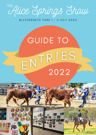

BLATHERSKITE PARK 1 - 2 JULY 2022

# GUIDE TO<br>ENTRIES 2022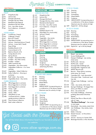## Rumball Hall competitions

SECTION AJ

## **SECTION A**

|        |                 | <b>AGRICULTURE</b>                                  |
|--------|-----------------|-----------------------------------------------------|
|        | <b>FRUIT</b>    |                                                     |
| $\Box$ | A1              | Grapefruits (3x)                                    |
|        | $\Box$ A2       | Lemons (3x)                                         |
|        | $\Box$ A3       | Oranges (3x) Navel                                  |
|        | ∃ A4            | Oranges (3x) Any Other                              |
|        | コ A5            | Mandarins (6x) Imperial                             |
|        | ∩ A6            | Mandarins (6x) Any Other                            |
|        | 1 A7            | Fruit - Any other variety                           |
|        | $\square$ A8    | Fruit Collection - At least 4                       |
|        |                 | varieties                                           |
|        |                 | <b>VEGETABLES</b>                                   |
|        | $\square$ A9    | Cauliflower (1 head)                                |
|        | $\square$ A10   | Cabbage (1 head)                                    |
|        | $\Box$ All      | Broccoli (1 head)                                   |
|        | 2 A12           | Silver Beet (6 sticks)                              |
|        | $\square$ A13   | Lettuce - Hearting Lettuce (1 head)                 |
|        | $\Box$ A14      | Lettuce - Loose Leaf (1 head)                       |
|        | $\square$ A15   | Peas (500g)                                         |
|        | $\Box$ A16      | Radishes (bunch of 6)                               |
|        | $\Box$ A17      | Carrots (bunch of 5)                                |
|        | $\Box$ A18      | Beetroot (bunch of 3)                               |
|        | $\Box$ Al9      | Turnips (bunch of 3)                                |
|        | $\square$ A20   | <b>Spring Onions</b>                                |
|        | ו2A ⊡           | Pumpkin - Queensland Blue                           |
|        | $\Box$ A22      | Pumpkin - Any other variety                         |
|        | $\square$ A23   | Pumpkin - Largest                                   |
|        | $\square$ A24   | Table Tomatoes (6x)                                 |
|        | □ A25           | Vegetables - Any other variety                      |
|        | □ A26           | Vegetables Collection - 4 or more                   |
|        |                 | varieties                                           |
|        | $\square$ A27   | Vegetables - Salad Collection                       |
|        | $\square$ A28   | Herbs Collection - Growing in                       |
|        |                 | container                                           |
|        | ∃ A29           | Bush Tucker - Any variety                           |
|        | $\square$ A30   | Vegetables Asian - Any variety                      |
|        |                 |                                                     |
|        | A <sub>31</sub> | <b>FARM PRODUCE</b><br>White Eggs (6x) in container |
|        | A32             | Brown Eggs (6x) in container                        |
|        | A33             | Duck Eggs (6x) in container                         |
| ∟      | $\square$ A34   | Honey - Light                                       |
|        | $\square$ A35   | Honey - Medium                                      |
|        | $\square$ A36   | Honey - Dark                                        |
|        |                 |                                                     |
|        | $\square$ A37   | 500g Block of wax                                   |

- $\square$  A38 Commercial Entry – Edible garden produce collection
- $\square$  A39 Farm Produce Collection
- $\Box$  A40 Bush tucker collection

|   |         | <b>AGRICULTURE - JUNIOR</b>    |
|---|---------|--------------------------------|
|   |         | <b>JUNIOR SECTON</b>           |
|   | AJ1     | Grapefruits (3x)               |
|   | AJ2     | Lemons (3x)                    |
|   | AJ3     | Oranges (3x) Navel             |
| П | AJ4     | Oranges (3x) Any other variety |
| ▢ | AJ5     | Mandarins (6x) Imperial        |
| ш | AJ6     | Fruit (3x) – Any other variety |
| ⊓ | AJ7     | Fruit Collection - At least 4  |
|   |         | varieties                      |
|   | AJ8     | Radishes (bunch of 6)          |
|   | AJ9     | Silver Beet (3 or more sticks) |
|   | AJ10    | Lettuce (1 head)               |
| П | AJ11    | Zucchini                       |
| п | AJ12    | Vegetable - Any variety        |
| п | AJ13    | Vegetable collection           |
| п | AJ14    | White Eggs (6x) in container   |
| П | $A$ J15 | Brown Eggs (6x) in container   |
| Π | AJ16    | Duck Eggs (6x) in container    |
|   |         |                                |

 $\Box$  AJ17 Bantam Eggs (6x) in container

#### SECTION B

#### ART SENIOR

| П | B1        | Drawing     |
|---|-----------|-------------|
| П | Β2        | Painting    |
| П | B3        | Printmaking |
| П | B4        | Mixed Media |
| П | <b>B5</b> | Sculpture   |

 $\square$  B6 Graphic Design - A3 Poster advertising the Show

#### **SECTION BJ**

#### ART JUNIOR

#### 4 YEARS AND UNDER

- $\Box$  BJ1 Drawing
- $\Box$  BJ2 Painting
- $\Box$ Printmaking BJ3
- $\square$  BJ4 Mixed Media
- $\Box$ BJ5 **Sculpture**
- $\Box$  BJ6 GROUP ENTRY: Incorporating any or a combination of the above classes - Maximum size 2m wide by 1m high.

#### 5 TO 8 YEARS

- BJ7 Drawing
- $\Box$ BJ8 Painting
- $\Box$ BJ9 Printmaking
	- BJ10 Mixed Media
- $\Box$ BJ11 **Sculpture**  $\Box$ 
	- BJ12 GROUP ENTRY: Incorporating any or a combination of the above classes - Maximum size 2m wide by 1m high.



□

 $\Box$ 

For all the latest show information head to our Socials or jump on our website

#### 9 TO 12 YEARS

- $\Box$ BJ13 Drawing BJ14 Painting  $\Box$
- BJ15 Printmaking  $\Box$
- Mixed Media BJ16  $\Box$
- **Sculpture** BJ17  $\Box$

 $\Box$ 

- BJ18 GROUP ENTRY: Incorporating any or a combination of the above classes - Maximum size 2m wide by 1m high.
- $\Box$  BJ19 Digital Art - A4 Any design

#### 13 TO 15 YEARS

- BJ20 Drawing
- BJ21 Painting  $\Box$
- BJ22 Printmaking  $\Box$
- Mixed Media BJ23  $\Box$
- $\Box$ BJ24 **Sculpture**
- $\Box$  BJ25 GROUP ENTRY: Incorporating any or a combination of the above classes - Maximum size 2m wide by 1m high.
- BJ26 Digital Art up to A4 Any design

#### SECTION G

## **COOKING**

|        | □ G1          | Bread - any variety                  |
|--------|---------------|--------------------------------------|
|        | $\square$ G2  | Scone Challenge (x3)                 |
|        | □ G3          | Damper Challenge - any variety,      |
|        |               | state name                           |
|        | □ G4          | Muffins (x3) – Savoury               |
|        | $\square$ G5  | Muffins (x3) - Sweet                 |
|        | $\square$ G6  | Sausage Rolls Challenge (x3)         |
|        | □ G7          | Sausage Rolls Vegetarian (x3)        |
|        | $\square$ G8  | ANZAC Biscuits (x3)                  |
|        | □ G9          | Biscuits - Three distinct varieties, |
|        |               | state name, 3x of each               |
|        | $\square$ G10 | Cupcakes (x3) - iced, decorated      |
|        | $\Box$ G11    | Chocolate Cake - Traditional, iced   |
|        |               | top only                             |
|        | $\square$ G12 | Orange Cake Challenge - iced top     |
|        |               | only                                 |
|        | $\square$ G13 | Cake - any variety, state name       |
|        | $\square$ G14 | Sponge Challenge - No bigger than    |
|        |               | 20cm, jam filled, no cream           |
|        | $\square$ G15 | Slice - any variety $(x5)$           |
|        | $\Box$ G16    | Fruit Cake Challenge - Christmas     |
|        |               | pudding (decorated Christmas         |
|        |               | theme)                               |
|        | $\Box$ G17    | Gluten Free Slice or Biscuits (x3) - |
|        |               | only of 1 type                       |
| $\Box$ | G18           | "The Show Challenge" - See recipe    |
|        |               | on next page                         |
|        | П G19         | Marmalade - Any variety, name fruits |
|        | $\Box$ G20    | Jam Challenge - Any variety, name    |
|        |               | fruit/fruits                         |
|        | ] G21         | Relish / Chutney                     |
|        | □ G22         | Dessert Sauces - ie Chocolate /      |
|        |               | Caramel                              |
|        | G23           | Sauces - Savoury inc Sweet Chilli    |
|        | $\Box$ G24    | Beverage Alcoholic or Non-Alcoholic  |

www.alice-springs.com.au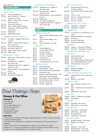#### SECTION GJ

#### COOKING JUNIOR

#### SECONDARY SCHOOL STUDENTS YEAR 7 TO 12

- $\Box$  GJ1 Scone Challenge (x3)
- $\Box$  GJ2 Biscuit Collection - 3 distinct varieties, x2 of each
- $\Box$  GJ3 Muffins - either sweet or savoury, state name (x3)
- $\Box$  GJ4 Chocolate Cake Iced
- $\Box$  GJ5 Slices - Three distinct varieties
- $\Box$  GJ6 Cupcakes - Vanilla, Fairy (Jam & Cream) (x3)
- $\Box$  GJ7 Pikelets (x3)
- **D**GJ8 ANZAC Biscuits (x3)

#### PRIMARY SCHOOL YEAR 3 - 6

- □ GJ9 Cupcakes - Judged on decoration only (x3)
- $\Box$  GJ10 Muffins - either sweet or savoury, state name (x3)
- $\Box$  GJ11 Chocolate Crackles (x3)
- $\Box$  GJ12 Chocolate Cake iced
- $\Box$  GJ13 Slices - Three distinct varieties
- GJ14 Pikelets (x3)

#### TRANSITION - YEAR 2

- GJ15 Muffins (x3) Either sweet or savoury, state name
- $\Box$  GJ16 Cupcakes (x3) - Judged on
- $\Box$  GJ17 decorations only
- Gingerbread Men (x3) Judged on decorations only
- $\Box$  GJ18 Edible Necklace - Not necessarily to be worn
- $\Box$  GJ19 Pikelets (x3)
- GJ20 Chocolate Crackles (x3)



#### PRESCHOOL AND UNDER

- GJ21 Teddy Bear (x3) Judged on decoration only
- GJ22 Cupcakes (x3) Judged on decoration only
- GJ23 Edible Necklace Not necessarily to be worn
- GJ24 Pikelets (x3)
- GJ25 Chocolate Crackles (x3)
- GJ26 Gingerbread Men (x3) Judged on decorations only

#### SECTION H

#### CRAFT

#### SEWING MACHINE

- $\Box$ H1 Sewn Garment (Male/Female) – Any fabric
- $\Box$  H<sub>2</sub> Sewn Garment (Baby) – Any fabric
- $\Box$  H3 Sewn small item – for a gift

#### **CROCHET**

- $\Box$  H4 Crochet Baby Set
- $\Box$  H5 Crochet Shawl / Stole
- $\Box$  H6 Crochet Garment
- $\Box$  H7 Crochet - Small item
- $\Box$  H8 Crochet - Large item
- $\Box$  H9 Crochet Rug
- $\Box$  H10 Crochet Tea Cosy
- $\Box$ H11 Crochet Beanie, Sock or Scarf

#### HAND KNITTING

- $\Box$  H12 Knitted Baby Set
- $\Pi$  H<sub>13</sub> Knitted Shawl / Stole
- $\Box$  H14 Knitted Garment (any age group)
- $\Box$  H15 Knitted Tea Cosy
- $\Box$  H16 Hand Knit Special Techniques - Fair Isle, Intarsia, Double Knitting
- $\Box$  H17  $\Pi$  H<sub>18</sub> Knitted Item - Rug or Bedspread Knitted Beanie, Socks, or Scarf
- $\Box$  H19 Knitting - Small item
	-
- $\Box$  H<sub>20</sub> Knitting - Large item



### Honey & Oat Slice

#### INGREDIENTS

1 cup rolled oats 1 cup sultanas 1/2 cup desiccated coconut 1/2 cup self-raising flour 1/2 cup raw sugar 125g margarine, melted 2 tablespoons honey

#### DIRECTIONS

1. Preheat oven to moderate, 180 degrees. Lightly grease an 18 x 28cm slice pan. Line base and sides with baking paper.

2. Combine the dry ingredients in a large bowl. Add margarine and honey, mixing until combined.

3. Press mixture firmly into the prepared pan, using a fork or the base of a glass.

4. Bake for 10 - 15 minutes, until golden. Let cool for 10 minutes in the pan before cutting into squares. Cool completely. Store in an airtight container.

#### DOLL OR SOFT TOY

- $\Box$  H<sub>21</sub> Handmade Doll or Soft Toy including clothing
- $\Box$  H<sub>22</sub> Handmade Clothes for Doll or Soft Toy
- $\Box$  H23 Soft Toy - Felt
- $\Box$  H<sub>24</sub> Soft Toy - Hand/machine sewn
- $\Box$  H<sub>25</sub> Soft Toy - Crochet
- $\Box$  H<sub>26</sub> Soft Toy - Knitted

#### HANDMADE TEDDY BEAR

- $\Box$  H<sub>27</sub> Teddy Bear - Undressed
- $\Box$  H28 Teddy Bear - Dressed

#### **EMBROIDERY**

- $\Box$ H<sub>29</sub> Cross Stitch or Counted Stitch - Any article
- $\Box$  H<sub>30</sub> Ribbon Embroidery or Long Stitch
- $\Box$  H31 Smocking
- $\Box$  H32 Machine Embroidery
- $\Box$  H33 Any Other Embroidery

#### **TAPESTRY**

- $\Box$  H34 Tapestry - Unframed or Framed
- $\Box$  H<sub>35</sub> Petit Point - Unframed or Framed

#### PATCHWORK, QUILTING AND **APPLIQUE**

- $\Box$  H<sub>36</sub> Quilt (machine work)
- $\Box$  H37 Quilt (hand work)
- $\Box$  H38 Cot or Wall Hanging (machine work)
- $\Box$  H39 Cot or Wall Hanging (hand work)
- $\Box$ H40 Patchwork item - any article

#### LACEWORK

- $\Box$ H41 Bobbin Lace Making
- $\Box$  H42 Any Other Lace

#### HAND SPINNING AND WEAVING

 $\Box$ H43 Handspun Wool - Hair or Fibre (one skein)

Silk Painting - Any article

Hand Built - Any article Wheel Thrown - Any article

Wood Piece - Ornamental Lathe Piece - Any article Functional Piece Scroll Work - Any article

Beaded Jewellery - Any article

Beaded - Any article

Silk Fusion - Any article Needle Felting - Any article Wet Felted Item - Any article

Dyes - Natural, coloured wool or

Folk Art - Traditional or Modern

Dyes - Commercial, coloured wool or

 $\Box$  H44 Weaving - Any article

#### FABRIC DYING

fibre

fibre

Decoupage

FOLK ART

**POTTERY** 

WOODWORK

BEADING WORK

 $\Box$  H45

 $\Box$  H46

 $\Box$  H47

 $\Box$  H48  $\Pi$ <sup>H49</sup>

 $\Box$  H50  $\Pi$ H51

 $\Box$ H52  $\Box$  H53  $\Box$ H54  $\Box$  H55

 $\Box$  H56  $\Box$  H57

 $\Box$  H58  $\Box$  H59  $\Box$  H60

FELTING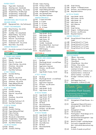#### PAPER CRAFT

- Paper (A4) Handmade Greeting card - Handmade Papertole or Quilling - Any article Scrapbooking - Double page  $\Box$  H61  $\Box$  H62  $\Box$  H63  $\Box$  H64
- Scrapbooking Single page Scrapbooking - Small handmade album  $\Box$  H65  $\Box$  H66

## REPURPOSED, RECYCLED OR

REUSED WORK<br>
O H67 Repurposed Repurposed Item - Any Technique/s

#### CRAFT TECHNIQUES

 $\Box$  H74  $\Box$  H75  $\Box$  H76 Metal Craft - Any article Combined Craft - Any article Resin Work - Any article  $\Box$  H68  $\Pi$  H69  $\Box$  H70  $\Pi$  H71  $\Box$  H72  $\Box$  H73 Glass Painting - Any article Kiln Fired Glass Jewellery - Not using beads Basket Making - Any article Rug Making - Any article Fibre Art - Any technique GROUP PROJECT H77 Any article or project of mixed media

#### SECTION HJ

#### CRAFT - JUNIOR

#### 5 YEARS AND UNDER

- $\Box$ HJ1 Crochet / Knitting
- $\Box$ HJ2 Felting
- $\Box$ HJ3 Fibre Art - Any article
- $\Pi$ HJ4 Fabric Painting - Any article
- $\Box$ HJ5 Christmas - Any article
- $\Box$  HJ6 Paper Making (A4)
- $\Box$ HJ7 Any Other Technique

#### 6 TO 7 YEARS

 $\Box$ HJ8  $\Box$ HJ9  $\Box$ HJ10  $\Box$ HJ11  $\Box$ HJ12  $\Box$  HJ13  $\Box$  HJ14 Crochet/ Knitting Felting Fibre Art - Any article Fabric Painting - Any article Christmas - Any article Paper Making (A4 size) Any Other Technique

#### 8 TO 10 YEARS

 $\Pi$ HJ15  $\Box$ HJ16  $\Box$ HJ17  $\Pi$ HJ18  $\Box$ HJ19  $\Box$  HJ20  $\Box$ HJ21 HJ22 Any Other Technique Sewing Crochet / Knitting Fibre Art - Any article Felting Christmas - Any article Woodwork Greeting Cards (up to 3)

#### 11 TO 13 YEARS

HJ23 Sewing HJ24 Crochet / Knitting  $\Box$  HJ25  $\Box$  HJ26  $\Box$ HJ27  $\Box$  HJ28  $\Box$  HJ29  $\Box$  HJ30  $\Box$  HJ31 Paper Making (A4 Size) Fabric Painting Pottery or Glass Woodwork or Metal Work Scrapbooking - Single Page Any Christmas Item Any Other Technique 14 TO 16 YEARS

HJ32 Sewing HJ33 Crochet / Knitting

- HJ34 Fabric Painting
- HJ35 Pottery or Glass
- $\Box$  HJ36 Woodwork or Metal Work
- $\Box$  HJ37 Paper Making (A4 Size)
- $\Box$  HJ38 Scrapbooking - Double Page
- $\Box$  HJ39 HJ40 Any Other Technique Any Christmas Item

#### GROUP PROJECT

- SECTION J **HOBBIES**  $\Box$  Ji  $\Box$  J2  $\Box$  J3  $\Box$  J4 Lego Model - No Kit Lego Scene - No Kit Lego Model - Kit Lego Scene - Kit  $\Box$  HJ41 HJ42 6 -7 Years  $\Box$  HJ43 HJ44 11 - 13 Years HJ45 14 - 16 Years 5 Years and Under 8 - 10 Years
- $\Box$  J5 Any Collections
- $\Box$  J6 Candle - handmade
- $\Box$  J7 Wood/Metal Work - functional
- $B_{\text{U}}$ Diorama - any 3D scene
- $Q \cup Q$ Wall Hanging
- OIL<sup>O</sup> Recycled Creation

#### SECTION JJ HOBBIES JUNIOR

#### 4 YEARS AND UNDER

- $\Box$ JJ1 Pet Rock
- $\Box$  JJ2 Play Dough Animal - on small base
- $\square$  JJ3 Recycled Creation
- $\Box$  JJ4 Egg Carton Creature
- $\Box$  JJ5 Diorama - any 3D scene
- DJJ6 Any Other
- $\Pi$  JJ7 Lego Model / Scene - No Kit

#### 5 TO 7 YEARS

- $\Box$  JJ8 Pet Rock
- $\Box$  JJ9 Play Dough Animal - on small base
- OILL<sup>D</sup> Recycled Creation
- $\Box$ JII Egg Carton Creature
- $\square$ JJ12 Diorama - any 3D scene
- $\Box$  JJ13 Any Other
- $\Box$  JJ14 Lego Model - No Kit
- $\Box$  JJ15 Lego Scene - No Kit

#### 8 TO 10 YEARS

- $\Box$ JJ16  $\Box$  JJ17  $\square$  JJ18  $\Box$  JJ19  $\square$  JJ20 Lego Model - No Kit Lego Scene - No Kit Lego Model - Kit Lego Scene - Kit Pet Rock
- $\Box$  JJ21 Decorated Bottle
- $\Box$ JJ22 Recycled Creation
- $\Box$  JJ23 Diorama - any 3D scene
- $\Box$  JJ24 Any Collection

#### 11 TO 13 YEARS

- $\Box$ <br/> $\Box$ <br/> $\Box$ Lego Model - No Kit
- $\Box$  JJ26 Lego Scene - No Kit
- $\Box$  JJ27 Lego Model - Kit
- $\Box$  JJ28 Lego Scene - Kit
- $\Box$  JJ29  $\square$  JJ30 Any Collections Pet Rock
- $\Box$  JJ31 Decorated Bottle
- $\Box$  JJ32 Mobile
- $\Box$  JJ33 Soap Carving
- $\Box$  JJ34 Origami - 3 different pieces
- $\Box$  JJ35 Diorama - any 3 different pieces
- $\Box$  JJ36 Recycled Creation

#### 14 TO 16 YEARS

- $\Box$  JJ37 Lego Model - No Kit
- $\Box$  JJ38 Lego Scene - Not Kit
- $\Box$  JJ39 Lego Model - Kit
- $\Box$  40 Lego Scene - Kit
- $\Box$  JJ41 Any Collection
- $\square$  برر $\square$ Mobile
- $\Box$  JJ43 Soap Carving
- $\Box$  JJ44 Origami - 3 different pieces
- $\Box$  JJ45 Diorama - any 3D scene
- $\Box$  JJ46 Recycled Creation

#### GROUP PROJECT

- $\Box$  JJ47 Group/School 4 Years old and Under
- $\Box$  JJ48 Group/School 5 to 7 Years
- $\Box$  JJ49 Group/School 8 to 10 Years
- $\square$  JJ50 Group/School 11 to 13 Years
- $\Box$  JJ51 Group/School 14 to 16 Years

#### **SECTION L HORTICULTURE**

#### CUT FLOWERS

| וו ח        | 1 Bloom – Any variety                |
|-------------|--------------------------------------|
| □ l2        | 3 Blooms - One variety               |
| $\sqcup$ l3 | 1 Rose Bloom                         |
| LJ 14       | 3 Rose Blooms - Any colour           |
| $\Box$ L5   | 3 Stems - One variety                |
| N L6        | Best Collection - 10 or more         |
|             | varieties (1 of each)                |
| $\Box$ L7   | Australian Native – In bloom (1 cut) |
| LJ 1.8      | Australian Native - In bloom (3      |
|             | distinct varieties – 1 cut each)     |
| ⊔ 19        | Eucalypt – In bloom (1 variety – 2   |
|             | cuts)                                |
| $\Box$ L10  | Sturt Desert Pea (1 cut)             |
| l 1         | Eremophila – In bloom (2 cuts)       |

## Thank You

#### Australian Plant Society

For Sponsoring prize money for L7 & L8 Australian Native

#### ARRANGEMENTS

| 1 L12      | Arrangement of Fresh Flowers – In a   |
|------------|---------------------------------------|
|            | vase                                  |
| $\Box$ L13 | Arrangement (Special Occasion –       |
|            | please specify) - Under 30cm in       |
|            | height                                |
| 7 li4      | Arrangement of Roses                  |
| ∃ L15      | Tall and slender                      |
| J L16      | Floating Bowl - Floral design, not to |
|            | exceed 30cm overall                   |
| □ l17      | Miniature Dried Arrangement - Less    |
|            | than 8cm in height                    |
| □ L18      | Bunch of Violets - including leaves   |
| פו ⊔       | Fruit and/or Vegetable Animal/        |
|            | Bird - Horticultural decorations may  |
|            | be used                               |
|            | A clutch of weeds non political       |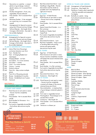- $\Box$ L<sub>21</sub> Decoration on a platter – a raised platter of good design, material glued in place, not to exceed 30cm overall
- $\Box$ L22 Novelty Arrangement – Fruits, nuts, vegetables, flowers allowed
- $\Box$ L23 Fairy Garden – Not to exceed 45cm overall
- $\Box$ L24 Miniature Garden – To be arranged on a sand tray, not to exceed 15cm overall
- $\square$  L<sub>25</sub> Arrangements for Special occasion using only 5 flowers and any foliage
- $\Box$  L<sub>26</sub> Tall and Slender - Min height 45cm
- $\Box$  L<sub>27</sub> Corsage or Buttonhole - Any style to be suitably displayed

#### PROFESSIONALS

- $\Box$  L<sub>28</sub> Arrangements for Special occasion using only 5 flowers and any foliage
- $\Box$  L29  $\Box$  L30 Tall and Slender - Min height 45cm Corsage or Buttonhole - Any style to
- be suitably displayed

#### PLANTS GROWN IN CONTAINERS

- $\Box$  L31 Indoor Plant (non-flowering) container diameter over 21cm
- $\Box$  L32 Fern - Maiden hair
- $\Box$  L33 Fern - In Hanging Basket (not asparagus)
- $\Box$  L34 Hanging Basket - not fern
- $\Box$  L35 Succulents - 3 or more varieties
- $\square$  L36 Succulent - 1 variety
- $\Box$  L37 Cacti - 3 or more varieties
- $\Box$  L38 Cactus - 1 variety
- $\Box$  L39 Orchid in bloom
- $\Box$  L40 Patio Pot - May contain multiple plants
- $\Box$  L41 Patio Pot of flowering annuals
- $\Box$  L42 Bonsai - Established 12 months
- $\Box$  L43 Bonsai - Established over 5 years
- $\Box$  L44 Terrarium

#### SECTION LJ

#### HORTICULTURE JUNIOR

- 5 YEARS AND UNDER
- $\Box$ Floral Saucer (in wet sand or oasis) - Saucer must be completely covered
- $\Box$ <sub>LJ2</sub> Fairy Garden - Not to exceed 45cm overall
- $\Box$  LJ3 Rock Garden for Dinosaurs - In a flat container
- $\Box$  LJ4 Fruit and/or Vegetable Animal/Bird - Horticulture decorations may be used
- Best Decorated Gum Boots -1 pair  $\Box$  LJ5
- Seedlings in Egg Shells May be decorated, must be whole as possible and to be displayed up right (min 4 max 6)  $\Box$

#### 6 TO 8 YEARS

- $\Box$  LJ7 Egg Cup - of fresh flowers
- $\square$   $\square$ Floral Saucer (in wet sand or oasis) - Saucer must not be completely covered
- LJ9 Fairy Garden - Not to exceed 45cm overall
- $\Box$   $\Box$ 10 Space Scene Rock Garden - in a flat container
- $\Box$   $\Box$ 11 Necklace of Seeds, Seed Caps/Pods
- $\Box$   $L$ 12 Fruit and/or Vegetable Animal/Bird Horticulture decorations may be used
- $\Box$   $\Box$ 13 Decorated Gum Boots - 1 pair
- $\Box$   $L$ 14 Big Hairy Caterpillar - Using a sock or stocking filled with potting mixture and grass seeds decorations may be used

#### 9 TO 12 YEARS

- $\Box$  LJ15 Egg Cup - of fresh flowers
- $\square$   $\square$ 16 Flora Saucer (in wet sand or oasis) Saucer must be completely covered with shape the saucer retained (max size 20cm)
- $\Box$  LJ17 Fairy Garden - Not to exceed 45cm overall
- $\Box$ <sub>1.118</sub>  $\Box$ 1119 Rock Garden - In a flat container
	- Fruit and/or Vegetable Animal/Bird Horticulture decorations may be used
- $\Box$  LJ20 Decorated Gum Boots -1 Pair
- 13 TO 15 YEARS  $\Box$  LJ21 Scarecrow - Max height 2m
- LJ22 Floral Saucer (in wet sand or oasis) - Saucer must be completely covered with shape of the saucer retained (max size 20cm)
- $\Box$  LJ23 Decorated plate - a raised pattern of good design; material/s glued in place
- $\Box$  LJ24 Fruit and/ or vegetable Animal
- $\Box$  LJ25 Floating Bowl - Floral design not to exceed 30cm overall
- $\Box$  LJ26 Scarecrow - Max height 2m
- $\Box$  LJ27 Fairy Garden - not to exceed 45cm overall
- $\Box$  LJ28 Terrarium in a Mason jar

#### OPEN (16 YEARS AND UNDER)

- $\square$   $\square$ 29 Arrangement of Fresh Materials
- $\Box$  LJ30 Scarecrow - Max height 2m
- $\Box$   $\Box$ 31 Necklace of seeds, seed caps/pods - Must be wearable and prepared for display
- $\Box$   $\Box$ 32 Butterfly on a plate - Using horticultural materials (max size place 50cm)

#### SECTION M

#### **PET AND ANIMAL NURSERY**

| ר ו    | M1              | Bird - Large     |
|--------|-----------------|------------------|
| П.     | M2              | Bird - Small     |
| □      | M3              | Cat              |
| □      | M4              | Dog              |
| □      | M5              | Farm Pets        |
| $\Box$ | M6              | Fish             |
| П.     | M7              | Guinea Pig       |
| П.     | M8              | Mice             |
| $\Box$ | M9              | Native Pet       |
| $\Box$ | M10             | Poultry          |
| $\Box$ | M11             | Rabbit           |
|        | $\square$ M12   | Reptile          |
| $\Box$ | M <sub>13</sub> | Pet - Any other  |
|        |                 | <b>SECTION N</b> |
|        |                 | PHOTOGRAPHY      |
|        |                 | <b>BEGINNERS</b> |
| ۱۸ ل   |                 | Black & White    |
|        | LJ N2           | Places & Scapes  |

#### $\Box$  N4 **OPEN**

 $\Box$  N3

- $\Box$  N<sub>5</sub> Black & White
- $\Box$  N6 Central Australian Events
- $\Box$  N7 Places & Scapes - Alice Springs
- $\Box$  N8 Places & Scapes - Central Aust
- $\Box$  N9  $\Box$  N10 Places & Scapes - Open
	- People
- $\Box$  N11 Australian Wildlife

People Open

- $\Box$  N12 Wildlife - Open
- $\Box$  N13  $\Box$  N14 Flora & Fungi
	- Travel
- $\Box$  N15 Pets & Domesticated Animals
- $\Box$  N16 Panoramas
- $\Box$  N17 Twilight & Night
- $\Box$  N18 Macro
- $\Box$ <sup>N19</sup>  $\square$ <sup>N20</sup> Creative / Experimental Open
- SECTION NJ

#### PHOTOGRAPHY JUNIOR

- $\Box$  NJ1 8 years and Under
- $\Box$  NJ2 9 - 12 years
- $\Box$  NJ3 13 - 17 years

BUY YOUR TICKETS ONLINE & SAVE

**TICKET** 

www.alice-springs.com.au

#### Pre Pay Online @ SAVE!

- Adult Children Aged Pensioner with card Family 2 day passes available 5 to 15 years
- \$20.00 \$12.00 \$12.00



## HILLIND HID HIDHILLIN

#### General Admission at the Gate

Adult Children Aged Pensioner with card Family 2 day passes available 5 to 15 years \$25.00 \$15.00 \$15.00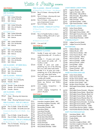## Cattle & Poultry EVENTS

#### PEN CLASSES - PEN OF 2 STEERS

 $\Box$  E34  $\square$  E35  $\square$  E36  $\Box$  E37 Pen of 2 Steers - showing only milk teeth Pen of 2 Steers - showing only 1 pair of permanent incisors Pen of 2 Steers - showing only 2 pairs of permanent incisors Pen of 2 Steers - Mature NT Bred Pen of 2 Steers - Any Breed

#### PEN CLASSES - FEEDLOT CATTLE NT Bred Pen of 2 Feedlot Cattle -

#### Any Breed

 $\square$  E38 Pen of 2 Feedlot heifers or steers -350kg to 420kg, milk tooth to 1 pair of permanent teeth

#### NT Bred Cow & Calf

E39 Cow and Calf

#### SECTION EJ

#### CATTLE JUNIOR

#### CHILDRENS CLASSES

- $\Box$  EJ1 Handler 10 years and under – hand reared led poddy calf – 12 months or under
- $\Box$  EJ2 Handler 11 – 18 years and under – hand reared led poddy calf – 12 months or under
- $\Box$  EJ3 Handler 12 years and under – presenting any one of the following led: cow/ calf/ steer/ bull/ heifer

 $\Box$  EJ4 Handler 13 to 18 years and under – presenting any of the following led: cow/ calf/ steer /bull/ heifer

 $\square$  EJ5 The Calf Classic – 12 years and under – poddy calf, handler presents their animal dressed up as a

> theme eg: Batman and Robbin, Princesses etc.

- □ EJ6 Junior Judging Competition - 12 years and under
- $\Box$  EJ7 Juvenile Judging Competition 13 years to 18 years

#### **SECTION P**

#### **POULTRY**

#### HEAVY BRED LARGE FOWL

 $D$  P1  $\Box$  P2  $\Box$  P<sub>3</sub>  $\Box$  P4  $\Box$  P5  $\Box$  P6  $D<sup>P7</sup>$  $\square$  P8  $\Box$  P9  $\Box$  P10  $\Box$  P12  $\Box$  P13  $\Box$  P14 Australian Langshan (Male) - ARC Australian Langshan (Female) - ARC Barnevelder (Male) - ARC Barnevelder (Female) - ARC Australorp (Male) Australorp (Female) Plymouth Rock (Male) Plymouth Rock (Female) Rhode Island Red (Male) Rhode Island Red (Female) Sussex (Male) Sussex (Female) Heavy Breed (Male) - AORV Heavy Breed (Female) - AORV

#### LIGHT BREED LARGE FOWL

- $\Box$  P15 Leghorn (Male) - ARC
- $\Box$  P16 Leghorn (Female) - ARC
- $\Box$  P17  $\Box$  P18 Silkie (Male) - Black/White Silkie (Female) - Black/White
- $\Pi$  P19 Silkie (Male) - AORC
- $\Box$  P20 Silkie (Female) - AORC
- $\Box$  P21 Light Breed (Male) - AORV
- $\Box$  P22 Light Freed (Female) - AORV

#### GAME BREED LARGE FOWL

- $\Box$  P23 Indian Game (Male)
- $\Box$  P24 Indian Game (Female)
- $\Box$ P25 Old English Game (Male) - ARC
- $\overline{\Box}$  P26 Old English Game (Female) - ARC
- $\Box$  P27 Game Breed (Male) - AORV
- □ P28 Game Breed (Female) - AORV

#### X BREED/UTILITY

- $\Box$  P29 Judges Favourite (Male)
- $\Box$  P30 Judges Favourite (Female)

#### WATERFOWL

- $\Box$  P31 Mallard (Drake) - ARC
- $\Gamma$ P32 Mallard (Duck) - ARC
- $\Box$  P<sub>33</sub> Indian Runner (Drake) - ARC
- $\square$  P34 Indian Runner (Duck) - ARC
- $\Box$  P35 Muscovy (Drake) - White
- □ P36 Muscovy (Duck) - White
- **□ P37** Muscovy (Drake) - AORC
- $\Gamma$ P38 Muscovy (Duck) - AORC
- $\Box$  P39 Duck (Drake) - AORV
- $\Box$  P40 Duck (Duck) - AORV
- $\Box$  P41 Geese (Gander) - ARC
- $\Box$  P42 Geese (Goose) - ARC

#### HARD FEATHER BANTAM

| □ Р43            | Indian Game (Male)                   |
|------------------|--------------------------------------|
| ∐ P44            | Indian Game (Female)                 |
| $\square$ P45    | Modern Game (Male) - ARC             |
| □ p46            | Modern Game (Female) - ARC           |
| □ P47            | Modern Game (Male) - ARC             |
| □ <sub>P48</sub> | Modern Game (Female) - ARC           |
| $\Box$ P49       | Old English Game (Male) - Black/Red, |
|                  | dark leg                             |
| ∩ P50            | Old English Game (Female) - Wheaten  |
| □ P51            | Old English Game (Male) - Black/Red  |
| ∩ P52            | Old English Game Wheaten Black Tail  |
| □ P53            | Old English Game (Male) – Blue Red   |
| $\Box$ P54       | Old English Game Wheaten Blue Tail   |
| □ P55            | Old English Game (Male) - Duckwing   |
| $\Box$ P56       | Old English Game (Female) - Duckwing |
| □ P57            | Old English Game (Male) - AORC       |
| ∩ P58            | Old English Game (Female) - AORC     |
| □ P59            | Hard Feather Bantam (Male) - AORV    |
| M P60            | Hard Feather Bantam (Female) - AORV  |
|                  |                                      |

#### SOFT FEATHER BANTAM

- $\Box$  P61 Australorp (Male) - ARC
- $\Box$  P62 Australorp (Female) - ARC
- $\Box$  P63 Frizzle (Male)
- $\Box$  P64 Frizzle (Female)
- □ P65 Australian Langshan (Male) - ARC
- $\Box$  P66 Australian Langshan (Female) - ARC
- $\Box$  P67 Leghorn (Male) - ARC
- $\square$  P68 Leghorn (Female) - ARC

 $\Box$  E4  $\Box$  E5  $\square$  E6 Bull - Under 18 Months Bull - 18 to 24 Months Bull - Mature  $\square$  E7  $\square$  E8  $\square$  E9 Bull - Under 18 Months Bull - 18 to 24 Months Bull - Mature **Droughtmaster**  $\square$  E10  $\square$  E11  $\Box$  E12 Bull - Under 18 Months Bull - 18 to 24 Months Bull - Mature Angus  $\Box$  E13  $\Box$  E14  $\Box$  E15 Bull - Under 18 Months Bull - 18 to 24 Months Bull - Mature Brahman  $\Box$  E16  $\square$  E17  $\Box$  E18 Bull - Under 18 Months Bull - 18 to 24 Months Bull - Mature Any Other Breed LED CLASSES - NT BRED BULL  $\Box$  E19  $\square$  E20  $\Box$  E21 Bull - Under 18 Months Bull - 18 to 24 Months Bull - Mature NT Bred - Any Breed LED CLASSES - FEMALE  $\square$ E22  $\square$  E23 Female - 12 to 24 Months Female - Mature Interstate Bred Female LED CLASSES - STEER  $\square$  E27  $\square$  E28 Steer - Showing only temporary Incisors Steer - Showing Permanent Incisors NT Bred Steer  $\Box$ E24  $\square$  E25  $\square$  E26 Female - Under 18 Months Female - 18 to 25 Months Female - Mature NT Bred Female PEN CLASSES - PEN OF 2 BULLS  $\Box$ E29  $\square$  E30 Pen of 2 Bulls - Under 18 months Pen of 2 Bulls - 18 months and over NT Bred Pen of 2 bulls - Any Breed  $\square$  E31  $\square$  E32 Pen of 2 Bulls - Under 18 months Pen of 2 Bulls - 18 months and over Interstate Bred Pen of 2 Bulls - Any Breed

SECTION E **CATTLE** 

LED CLASSES

Santa Gertrudis

Poll Hereford

Bull - Under 18 Months Bull - 18 to 24 Months

Bull - Mature

 $\Box$ E1  $\Box$ E2  $\square$  E3

#### PEN CLASSES - PEN OF 2 FEMALES  $\Box$  P11

- NT Bred Pen of 2 Any Breed
- $\square$  E33 Pen of 2 Females showing only temporary Incisors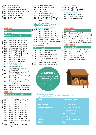- $\Box$ P69  $D_{P70}$  $\Box$ P71  $\Box_{P72}$  $DP73$  $\Box$ P74  $DP75$  $DP76$ Pekin (Male) - ARC Pekin (Female) - ARC Rhode Island Red (Male) - ARC Rhode Island Red (Female) - ARC Rosecomb (Male) - ARC Rosecomb (Female) - ARC Sebright (Male) - Gold Sebright (Female) - Gold
- 

#### SECTION K **HORSES**

#### **SECTION KDR** HORSES - DRESSAGE

|                | RESTRICTED COMPETITIONS               |
|----------------|---------------------------------------|
| □ KDR1         | Preparatory C (2013) - Junior         |
| $\square$ KDR2 | Preparatory C (2013) - Senior         |
| $\square$ KDR3 | Preparatory B (2013) - Junior         |
| $\square$ KDR4 | Preparatory B (2013) - Senior         |
| $\square$ KDR5 | Preliminary 1A (2019) - Junior        |
| $\square$ KDR6 | Preliminary 1A (2019) - Senior        |
| $\Box$ KDR7    | Preliminary 1B (2019) - Junior*       |
| $\square$ KDR8 | Preliminary 1B (2019) - Senior*       |
| $\square$ KDR9 | Novice 2A (2019) - Junior             |
| $\Box$ KDR10   | Novice 2A (2019) - Senior             |
| $\Box$ KDR11   | Novice 2B (2019) - Junior*            |
| $\Box$ KDR12   | Novice 2B (2019) - Senior *           |
|                | <b>OFFICIAL COMPETITION</b>           |
| $\Box$ KDR13   | Preliminary 1B (2019)                 |
|                | (Participation and Competitive) *     |
| $\Box$ KDR14   | Preliminary 1C (2019)                 |
|                | $(D$ articipation and $C$ ompotitival |

|                 | (Participation and Competitive) "  |
|-----------------|------------------------------------|
| $\Box$ KDR14    | Preliminary 1C (2019)              |
|                 | (Participation and Competitive)    |
| $\Box$ KDR15    | Novice 2B (2019)                   |
|                 | (Participation and Competitive) *  |
| $\square$ KDR16 | Novice 2C (2019)                   |
|                 | (Participation and Competitive)    |
| $\square$ KDR17 | Elementary 3B (2019)               |
|                 | (Competitive)                      |
| $\square$ KDR18 | Elementary 3C (2019) (Competitive) |
| $\square$ KDR19 | Medium 4B (2019) (Competitive)     |
| $\square$ KDR20 | Medium 4C (2019) (Competitive)     |

#### **SECTION KSJ**

HORSES - SHOWJUMPING

#### FRIDAY CLASSES

| m KSJ1          | Article 238.2.2 - 40cm - Junior      |
|-----------------|--------------------------------------|
| $\sqcap$ KSJ2   | Article 238.2.2 - 40cm - Senior      |
| $\sqcap$ KSJ3   | Article 238.2.2 - 50cm - Junior      |
| $\Box$ KSJ4     | Article 238.2.2- 50cm - Senior       |
| $\sqcap$ KSJ5   | Article 238.2.2 - 60cm Junior        |
| $\sqcap$ ksj6   | Article 238.2.2 - 60cm Senior        |
| $\Box$ KSJ7     | Article 238.2.2 - 70cm Open          |
| □ ksj8          | Article 238.2.2 - 80cm Open          |
| □ ksj9          | Article 238.2.2 - 90cm Open          |
| $\sqcap$ KSJ10  | Article 238.2.2 - 100cm Open         |
| $\sqcap$ KSJ11  | Article 238.2.2 - 110cm Open         |
| $\square$ KSJ12 | Article 262.3.2.1 - Starting at 60cm |
|                 | - Open                               |
| $\Box$ KSJ13    | Article 262.3.2.1 - Starting at 80cm |
|                 | - Open                               |

#### $\Box$  P77 Sebright (Male) - Silver

- $\Box$  P78 Sebright (Female) - Silver
- □ P79 Sussex (Male)
- $\square$  P80 Sussex (Female)
- $\Box$  P81 Wyandotte (Male) - ARC
- $\Box$  P82 Wyandotte (Female) - ARC
- □ P83  $\Box$  P84 Soft Feather Bantam (Male) - AORV
	- Soft Feather Bantam (Female) AORV

## lestrian Events

#### SATURDAY CLASSES OPEN

- Article 274.1.5.2 40cm Open Article 274.1.5.2 - 60cm - Open Article 274.1.5.2 - 75cm - Open  $\Box$  KSJ14  $\Box$  KSJ15  $\Box$  KSJ16
- Article 274.1.5.2 90cm Open  $\Box$  KSJ17
- Article 274.1.5.2 100cm Open  $\Box$  KSJ18
- Article 274.1.5.2 110cm Open - Progressive Round  $\square$  KSJ19
	-
	- Mare Not exceeding 15hh Mare - Over 15hh Gelding - Not exceeding 15hh Gelding - Over 15hh Colour and Dilute Breeds - any
- height Racing Breeds - any height □ KLD6

Showjumping participants need to pay \$20.00 per rider towards set up staff.

#### SPECIAL CLASSES

| $\Box$ P85       | Turkey (Gobbler) - AORC |
|------------------|-------------------------|
| $\square$ P86    | Turkey (Female) – AORC  |
|                  | <b>BREEDING PARIS</b>   |
| — <sub>— —</sub> |                         |

| LPP87      | Bantam - Any variety     |
|------------|--------------------------|
| $\Box$ P88 | Large Fowl - Any variety |
| $\Box$ P89 | Water Fowl - Any variety |

#### **SECTION KRR**

| $HORSES$ - RIDER   |                                        |  |  |  |
|--------------------|----------------------------------------|--|--|--|
| $\Box$ KRR1        | Smartest on Parade (18 years & over)   |  |  |  |
| $\Box$ KRR2        | Novice Senior Rider (18 years & over)  |  |  |  |
| $\Box$ KRR3        | Open Senior Rider (18 years & over)    |  |  |  |
| $\Box$ KRR4        | Smartest on Parade (17 year & under)   |  |  |  |
| $\Box$ KRR5        | Novice Junior Rider (17 years & under) |  |  |  |
| $\Box$ KRR6        | Open Junior Rider (17 years & under)   |  |  |  |
| <b>SECTION KHK</b> |                                        |  |  |  |

#### HORSES - HACK

| $\Box$ KHK1     | Novice Hack, Not Exceeding 15hh |
|-----------------|---------------------------------|
| $\Box$ кнк $_2$ | Open Hack, Not Exceeding 15hh   |
| $\Box$ KHK3     | Novice Hack, over 15hh          |
| $\Box$ кнк4     | Open Hack, over 15hh            |
| $\Box$ KHK5     | Ladies Hack, any height         |
| ⊐ кнк6          | Pleasure Hack, any height       |
|                 |                                 |



## Equestrian EVENT TIMETABLE

| <b>EVENT</b>                              | <b>DATE AND TIME</b>                                                        |
|-------------------------------------------|-----------------------------------------------------------------------------|
| <b>DRESSAGE</b><br><b>SHOW JUMPING</b>    | 30th June, 9am<br>30th June, 12:30pm<br>1st July, 12:30pm<br>2nd July, 10am |
| <b>LED</b><br><b>RIDER</b><br><b>HACK</b> | 1st July<br>1st July, following Led<br>2nd July, 9am                        |

| $\Box$ KSJ20        | Article 238.2.3 -  |  |
|---------------------|--------------------|--|
|                     | starting at 70cm   |  |
|                     | <b>SECTION KLD</b> |  |
| <b>HORSES - LED</b> |                    |  |

- $\square$  KLD1  $\square$ KLD2  $\square$  KLD3  $\square$  KLD4  $\Box$  KLD5
	- se Type any height

## REMINDER

See Steward to make payment

| $\square$ KLD7 | <b>Stock Hors</b> |
|----------------|-------------------|
|                |                   |